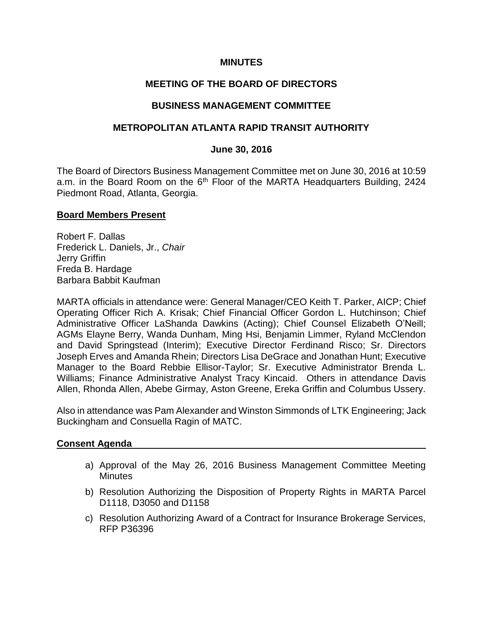### **MINUTES**

# **MEETING OF THE BOARD OF DIRECTORS**

### **BUSINESS MANAGEMENT COMMITTEE**

### **METROPOLITAN ATLANTA RAPID TRANSIT AUTHORITY**

#### **June 30, 2016**

The Board of Directors Business Management Committee met on June 30, 2016 at 10:59 a.m. in the Board Room on the 6<sup>th</sup> Floor of the MARTA Headquarters Building, 2424 Piedmont Road, Atlanta, Georgia.

#### **Board Members Present**

Robert F. Dallas Frederick L. Daniels, Jr., *Chair* Jerry Griffin Freda B. Hardage Barbara Babbit Kaufman

MARTA officials in attendance were: General Manager/CEO Keith T. Parker, AICP; Chief Operating Officer Rich A. Krisak; Chief Financial Officer Gordon L. Hutchinson; Chief Administrative Officer LaShanda Dawkins (Acting); Chief Counsel Elizabeth O'Neill; AGMs Elayne Berry, Wanda Dunham, Ming Hsi, Benjamin Limmer, Ryland McClendon and David Springstead (Interim); Executive Director Ferdinand Risco; Sr. Directors Joseph Erves and Amanda Rhein; Directors Lisa DeGrace and Jonathan Hunt; Executive Manager to the Board Rebbie Ellisor-Taylor; Sr. Executive Administrator Brenda L. Williams; Finance Administrative Analyst Tracy Kincaid. Others in attendance Davis Allen, Rhonda Allen, Abebe Girmay, Aston Greene, Ereka Griffin and Columbus Ussery.

Also in attendance was Pam Alexander and Winston Simmonds of LTK Engineering; Jack Buckingham and Consuella Ragin of MATC.

#### **Consent Agenda**

- a) Approval of the May 26, 2016 Business Management Committee Meeting **Minutes**
- b) Resolution Authorizing the Disposition of Property Rights in MARTA Parcel D1118, D3050 and D1158
- c) Resolution Authorizing Award of a Contract for Insurance Brokerage Services, RFP P36396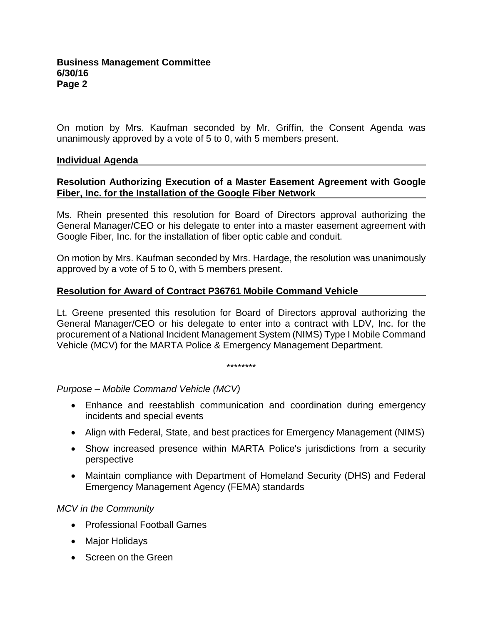On motion by Mrs. Kaufman seconded by Mr. Griffin, the Consent Agenda was unanimously approved by a vote of 5 to 0, with 5 members present.

### **Individual Agenda**

# **Resolution Authorizing Execution of a Master Easement Agreement with Google Fiber, Inc. for the Installation of the Google Fiber Network**

Ms. Rhein presented this resolution for Board of Directors approval authorizing the General Manager/CEO or his delegate to enter into a master easement agreement with Google Fiber, Inc. for the installation of fiber optic cable and conduit.

On motion by Mrs. Kaufman seconded by Mrs. Hardage, the resolution was unanimously approved by a vote of 5 to 0, with 5 members present.

### **Resolution for Award of Contract P36761 Mobile Command Vehicle**

Lt. Greene presented this resolution for Board of Directors approval authorizing the General Manager/CEO or his delegate to enter into a contract with LDV, Inc. for the procurement of a National Incident Management System (NIMS) Type I Mobile Command Vehicle (MCV) for the MARTA Police & Emergency Management Department.

\*\*\*\*\*\*\*\*

#### *Purpose – Mobile Command Vehicle (MCV)*

- Enhance and reestablish communication and coordination during emergency incidents and special events
- Align with Federal, State, and best practices for Emergency Management (NIMS)
- Show increased presence within MARTA Police's jurisdictions from a security perspective
- Maintain compliance with Department of Homeland Security (DHS) and Federal Emergency Management Agency (FEMA) standards

# *MCV in the Community*

- Professional Football Games
- Major Holidays
- Screen on the Green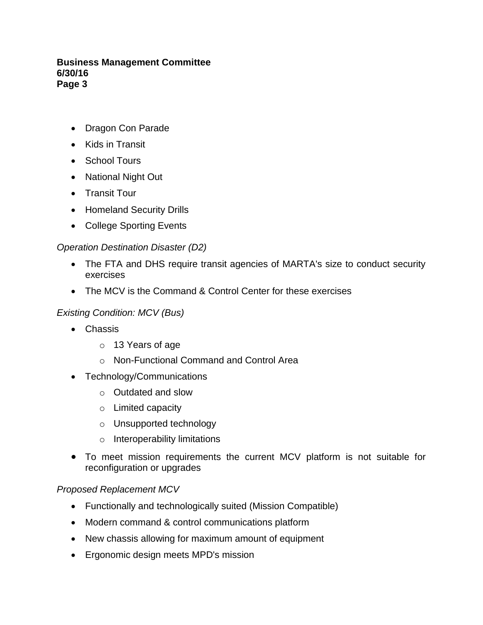### **Business Management Committee 6/30/16 Page 3**

- Dragon Con Parade
- Kids in Transit
- School Tours
- National Night Out
- Transit Tour
- Homeland Security Drills
- College Sporting Events

# *Operation Destination Disaster (D2)*

- The FTA and DHS require transit agencies of MARTA's size to conduct security exercises
- The MCV is the Command & Control Center for these exercises

# *Existing Condition: MCV (Bus)*

- Chassis
	- o 13 Years of age
	- o Non-Functional Command and Control Area
- Technology/Communications
	- o Outdated and slow
	- o Limited capacity
	- o Unsupported technology
	- o Interoperability limitations
- To meet mission requirements the current MCV platform is not suitable for reconfiguration or upgrades

# *Proposed Replacement MCV*

- Functionally and technologically suited (Mission Compatible)
- Modern command & control communications platform
- New chassis allowing for maximum amount of equipment
- Ergonomic design meets MPD's mission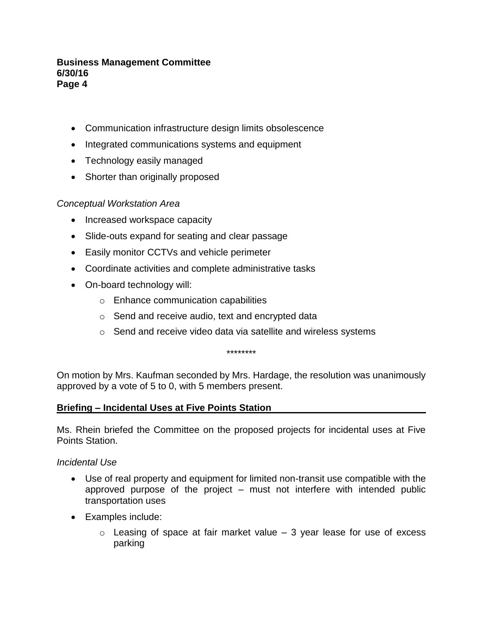### **Business Management Committee 6/30/16 Page 4**

- Communication infrastructure design limits obsolescence
- Integrated communications systems and equipment
- Technology easily managed
- Shorter than originally proposed

# *Conceptual Workstation Area*

- Increased workspace capacity
- Slide-outs expand for seating and clear passage
- Easily monitor CCTVs and vehicle perimeter
- Coordinate activities and complete administrative tasks
- On-board technology will:
	- o Enhance communication capabilities
	- $\circ$  Send and receive audio, text and encrypted data
	- o Send and receive video data via satellite and wireless systems

\*\*\*\*\*\*\*\*

On motion by Mrs. Kaufman seconded by Mrs. Hardage, the resolution was unanimously approved by a vote of 5 to 0, with 5 members present.

#### **Briefing – Incidental Uses at Five Points Station**

Ms. Rhein briefed the Committee on the proposed projects for incidental uses at Five Points Station.

#### *Incidental Use*

- Use of real property and equipment for limited non-transit use compatible with the approved purpose of the project – must not interfere with intended public transportation uses
- Examples include:
	- $\circ$  Leasing of space at fair market value  $-3$  year lease for use of excess parking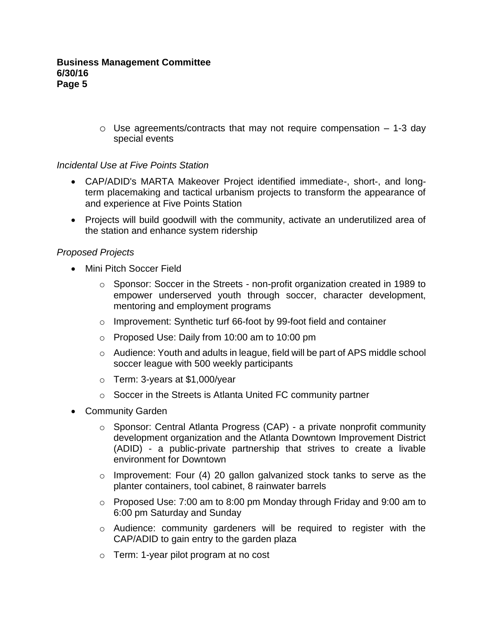$\circ$  Use agreements/contracts that may not require compensation  $-1$ -3 day special events

# *Incidental Use at Five Points Station*

- CAP/ADID's MARTA Makeover Project identified immediate-, short-, and longterm placemaking and tactical urbanism projects to transform the appearance of and experience at Five Points Station
- Projects will build goodwill with the community, activate an underutilized area of the station and enhance system ridership

# *Proposed Projects*

- Mini Pitch Soccer Field
	- o Sponsor: Soccer in the Streets non-profit organization created in 1989 to empower underserved youth through soccer, character development, mentoring and employment programs
	- o Improvement: Synthetic turf 66-foot by 99-foot field and container
	- o Proposed Use: Daily from 10:00 am to 10:00 pm
	- o Audience: Youth and adults in league, field will be part of APS middle school soccer league with 500 weekly participants
	- o Term: 3-years at \$1,000/year
	- o Soccer in the Streets is Atlanta United FC community partner
- Community Garden
	- o Sponsor: Central Atlanta Progress (CAP) a private nonprofit community development organization and the Atlanta Downtown Improvement District (ADID) - a public-private partnership that strives to create a livable environment for Downtown
	- o Improvement: Four (4) 20 gallon galvanized stock tanks to serve as the planter containers, tool cabinet, 8 rainwater barrels
	- o Proposed Use: 7:00 am to 8:00 pm Monday through Friday and 9:00 am to 6:00 pm Saturday and Sunday
	- o Audience: community gardeners will be required to register with the CAP/ADID to gain entry to the garden plaza
	- o Term: 1-year pilot program at no cost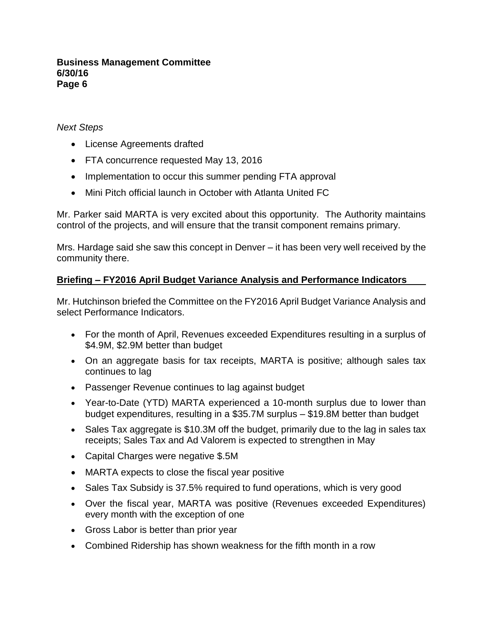### **Business Management Committee 6/30/16 Page 6**

# *Next Steps*

- License Agreements drafted
- FTA concurrence requested May 13, 2016
- Implementation to occur this summer pending FTA approval
- Mini Pitch official launch in October with Atlanta United FC

Mr. Parker said MARTA is very excited about this opportunity. The Authority maintains control of the projects, and will ensure that the transit component remains primary.

Mrs. Hardage said she saw this concept in Denver – it has been very well received by the community there.

# **Briefing – FY2016 April Budget Variance Analysis and Performance Indicators**

Mr. Hutchinson briefed the Committee on the FY2016 April Budget Variance Analysis and select Performance Indicators.

- For the month of April, Revenues exceeded Expenditures resulting in a surplus of \$4.9M, \$2.9M better than budget
- On an aggregate basis for tax receipts, MARTA is positive; although sales tax continues to lag
- Passenger Revenue continues to lag against budget
- Year-to-Date (YTD) MARTA experienced a 10-month surplus due to lower than budget expenditures, resulting in a \$35.7M surplus – \$19.8M better than budget
- Sales Tax aggregate is \$10.3M off the budget, primarily due to the lag in sales tax receipts; Sales Tax and Ad Valorem is expected to strengthen in May
- Capital Charges were negative \$.5M
- MARTA expects to close the fiscal year positive
- Sales Tax Subsidy is 37.5% required to fund operations, which is very good
- Over the fiscal year, MARTA was positive (Revenues exceeded Expenditures) every month with the exception of one
- Gross Labor is better than prior year
- Combined Ridership has shown weakness for the fifth month in a row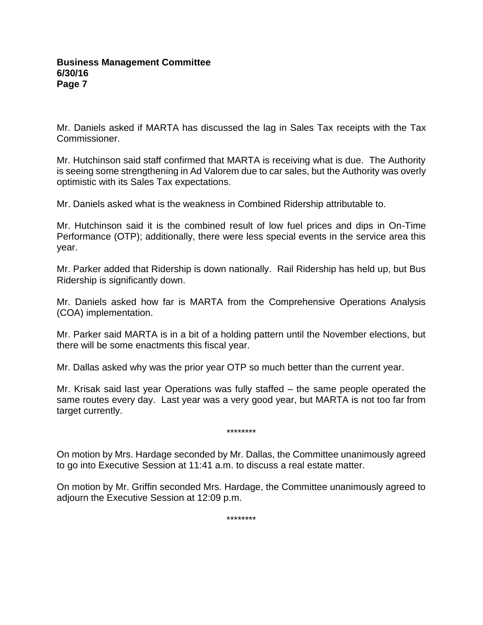Mr. Daniels asked if MARTA has discussed the lag in Sales Tax receipts with the Tax Commissioner.

Mr. Hutchinson said staff confirmed that MARTA is receiving what is due. The Authority is seeing some strengthening in Ad Valorem due to car sales, but the Authority was overly optimistic with its Sales Tax expectations.

Mr. Daniels asked what is the weakness in Combined Ridership attributable to.

Mr. Hutchinson said it is the combined result of low fuel prices and dips in On-Time Performance (OTP); additionally, there were less special events in the service area this year.

Mr. Parker added that Ridership is down nationally. Rail Ridership has held up, but Bus Ridership is significantly down.

Mr. Daniels asked how far is MARTA from the Comprehensive Operations Analysis (COA) implementation.

Mr. Parker said MARTA is in a bit of a holding pattern until the November elections, but there will be some enactments this fiscal year.

Mr. Dallas asked why was the prior year OTP so much better than the current year.

Mr. Krisak said last year Operations was fully staffed – the same people operated the same routes every day. Last year was a very good year, but MARTA is not too far from target currently.

\*\*\*\*\*\*\*\*

On motion by Mrs. Hardage seconded by Mr. Dallas, the Committee unanimously agreed to go into Executive Session at 11:41 a.m. to discuss a real estate matter.

On motion by Mr. Griffin seconded Mrs. Hardage, the Committee unanimously agreed to adjourn the Executive Session at 12:09 p.m.

\*\*\*\*\*\*\*\*